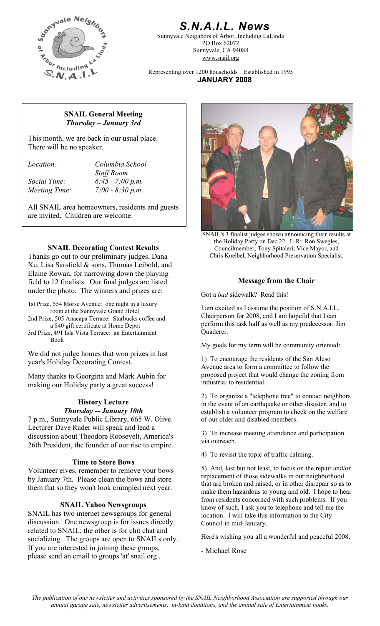

# *S.N.A.I.L. News*

Sunnyvale Neighbors of Arbor, Including LaLinda PO Box 62072 Sunnyvale, CA 94088 www.snail.org

Representing over 1200 households Established in 1995 **JANUARY 2008**

#### **SNAIL General Meeting**  *Thursday – January 3rd*

This month, we are back in our usual place. There will be no speaker.

*Location: Columbia School Staff Room Social Time: 6:45 - 7:00 p.m. Meeting Time: 7:00 - 8:30 p.m.* 

All SNAIL area homeowners, residents and guests are invited. Children are welcome.

## **SNAIL Decorating Contest Results**

Thanks go out to our preliminary judges, Dana Xu, Lisa Sarsfield & sons, Thomas Leibold, and Elaine Rowan, for narrowing down the playing field to 12 finalists. Our final judges are listed under the photo. The winners and prizes are:

1st Prize, 554 Morse Avenue: one night in a luxury

2nd Prize, 505 Anacapa Terrace: Starbucks coffee and a \$40 gift certificate at Home Depot

3rd Prize, 491 Isla Vista Terrace: an Entertainment Book

We did not judge homes that won prizes in last year's Holiday Decorating Contest. 1) To encourage the residents of the San Aleso<br>
<sup>1</sup>

Many thanks to Georgina and Mark Aubin for proposed project that we making our Holiday party a great success! making our Holiday party a great success!

#### **History Lecture**  *Thursday -- January 10th*

7 p.m., Sunnyvale Public Library, 665 W. Olive. Lecturer Dave Rader will speak and lead a discussion about Theodore Roosevelt, America's 26th President, the founder of our rise to empire.

#### **Time to Store Bows**

Volunteer elves, remember to remove your bows by January 7th. Please clean the bows and store them flat so they won't look crumpled next year.

#### **SNAIL Yahoo Newsgroups**

SNAIL has two internet newsgroups for general discussion. One newsgroup is for issues directly related to SNAIL; the other is for chit chat and socializing. The groups are open to SNAILs only. If you are interested in joining these groups, please send an email to groups 'at' snail.org .



SNAIL's 3 finalist judges shown announcing their results at the Holiday Party on Dec 22. L-R: Ron Swegles, Councilmember; Tony Spitaleri; Vice Mayor, and Chris Koelbel, Neighborhood Preservation Specialist.

#### **Message from the Chair**

Got a *bad* sidewalk? Read this!

I am excited as I assume the position of S.N.A.I.L. Chairperson for 2008, and I am hopeful that I can perform this task half as well as my predecessor, Jim Quaderer.

My goals for my term will be community oriented:

Avenue area to form a committee to follow the proposed project that would change the zoning from

2) To organize a "telephone tree" to contact neighbors in the event of an earthquake or other disaster, and to establish a volunteer program to check on the welfare of our older and disabled members.

3) To increase meeting attendance and participation via outreach.

4) To revisit the topic of traffic calming.

5) And, last but not least, to focus on the repair and/or replacement of those sidewalks in our neighborhood that are broken and raised, or in other disrepair so as to make them hazardous to young and old. I hope to hear from residents concerned with such problems. If you know of such, I ask you to telephone and tell me the location. I will take this information to the City Council in mid-January.

Here's wishing you all a wonderful and peaceful 2008.

- Michael Rose